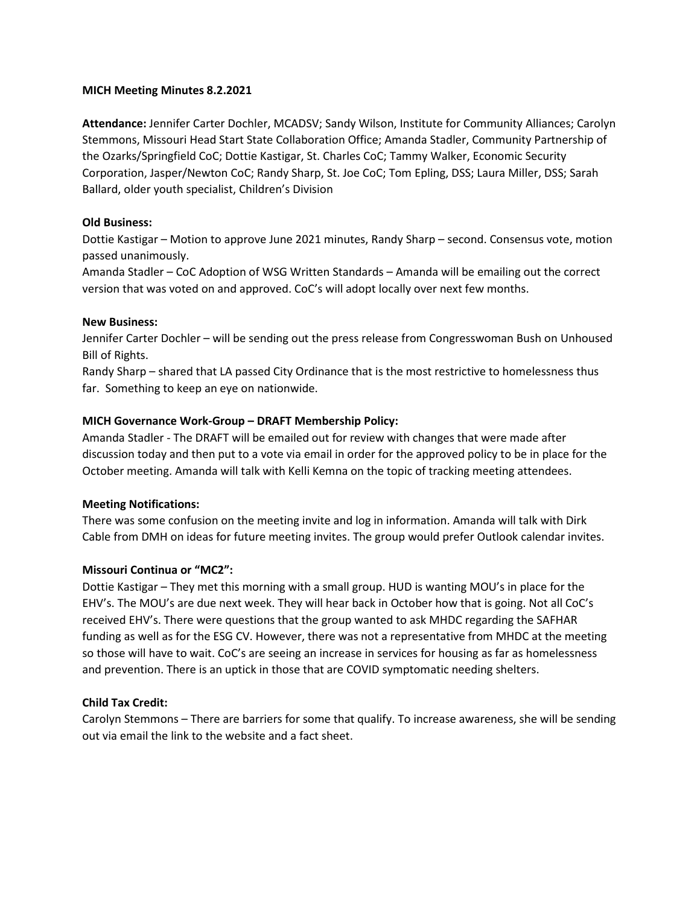# **MICH Meeting Minutes 8.2.2021**

**Attendance:** Jennifer Carter Dochler, MCADSV; Sandy Wilson, Institute for Community Alliances; Carolyn Stemmons, Missouri Head Start State Collaboration Office; Amanda Stadler, Community Partnership of the Ozarks/Springfield CoC; Dottie Kastigar, St. Charles CoC; Tammy Walker, Economic Security Corporation, Jasper/Newton CoC; Randy Sharp, St. Joe CoC; Tom Epling, DSS; Laura Miller, DSS; Sarah Ballard, older youth specialist, Children's Division

# **Old Business:**

Dottie Kastigar – Motion to approve June 2021 minutes, Randy Sharp – second. Consensus vote, motion passed unanimously.

Amanda Stadler – CoC Adoption of WSG Written Standards – Amanda will be emailing out the correct version that was voted on and approved. CoC's will adopt locally over next few months.

## **New Business:**

Jennifer Carter Dochler – will be sending out the press release from Congresswoman Bush on Unhoused Bill of Rights.

Randy Sharp – shared that LA passed City Ordinance that is the most restrictive to homelessness thus far. Something to keep an eye on nationwide.

## **MICH Governance Work-Group – DRAFT Membership Policy:**

Amanda Stadler - The DRAFT will be emailed out for review with changes that were made after discussion today and then put to a vote via email in order for the approved policy to be in place for the October meeting. Amanda will talk with Kelli Kemna on the topic of tracking meeting attendees.

#### **Meeting Notifications:**

There was some confusion on the meeting invite and log in information. Amanda will talk with Dirk Cable from DMH on ideas for future meeting invites. The group would prefer Outlook calendar invites.

#### **Missouri Continua or "MC2":**

Dottie Kastigar – They met this morning with a small group. HUD is wanting MOU's in place for the EHV's. The MOU's are due next week. They will hear back in October how that is going. Not all CoC's received EHV's. There were questions that the group wanted to ask MHDC regarding the SAFHAR funding as well as for the ESG CV. However, there was not a representative from MHDC at the meeting so those will have to wait. CoC's are seeing an increase in services for housing as far as homelessness and prevention. There is an uptick in those that are COVID symptomatic needing shelters.

#### **Child Tax Credit:**

Carolyn Stemmons – There are barriers for some that qualify. To increase awareness, she will be sending out via email the link to the website and a fact sheet.